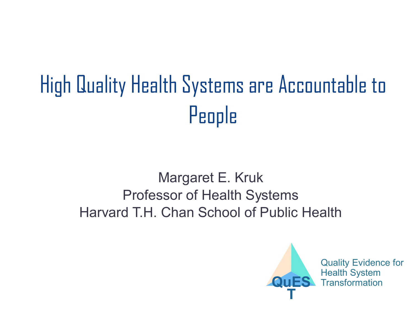# High Quality Health Systems are Accountable to People

#### Margaret E. Kruk Professor of Health Systems Harvard T.H. Chan School of Public Health

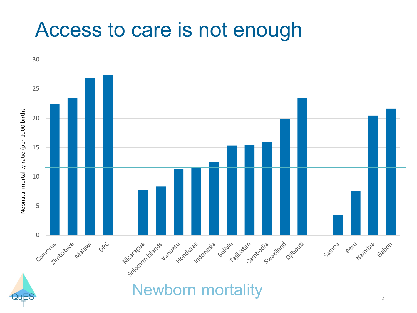# Access to care is not enough

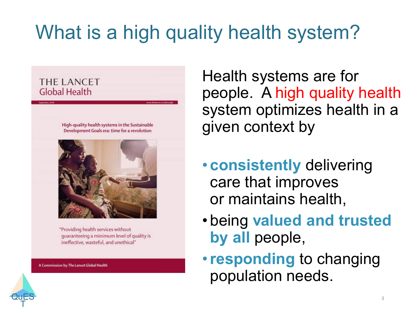# What is a high quality health system?

#### **THE LANCET Global Health**

High-quality health systems in the Sustainable Development Goals era: time for a revolution



"Providing health services without guaranteeing a minimum level of quality is ineffective, wasteful, and unethical"

A Commission by The Lancet Global Health

**QuES** T

Health systems are for people. A high quality health system optimizes health in a given context by

- **consistently** delivering care that improves or maintains health,
- being **valued and trusted by all** people,
- •**responding** to changing population needs.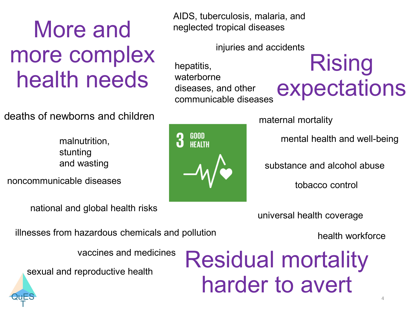# More and more complex health needs **Rising**<br>health needs **Materborne** average of the

#### deaths of newborns and children

malnutrition, stunting and wasting

noncommunicable diseases

national and global health risks

AIDS, tuberculosis, malaria, and neglected tropical diseases

injuries and accidents

hepatitis, waterborne diseases, and other communicable diseases

# expectations

maternal mortality

mental health and well-being

substance and alcohol abuse

tobacco control

universal health coverage

health workforce

illnesses from hazardous chemicals and pollution

vaccines and medicines

sexual and reproductive health

# Residual mortality harder to avert

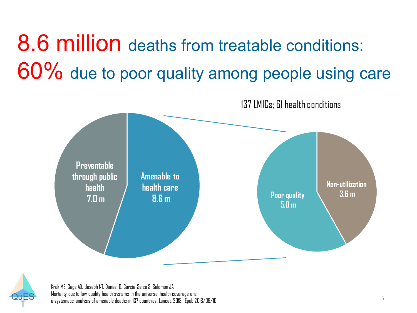# 8.6 million deaths from treatable conditions: 60% due to poor quality among people using care





Kruk ME, Gage AD, Joseph NT, Danaei G, Garcia-Saiso S, Salomon JA. Mortality due to low-quality health systems in the universal health coverage era: a systematic analysis of amenable deaths in 137 countries. Lancet. 2018. Epub2018/09/10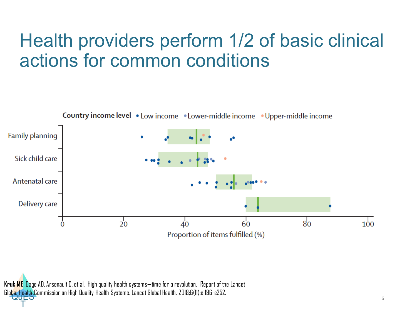## Health providers perform 1/2 of basic clinical actions for common conditions



Glo<mark>bal Health C</mark>ommission on High Quality Health Systems. Lancet Global Health. 2018;6(11):e1196-e252.<br>Called **Kruk ME**, Gage AD, Arsenault C. et al. High quality health systems—time for a revolution. Report of the Lancet

T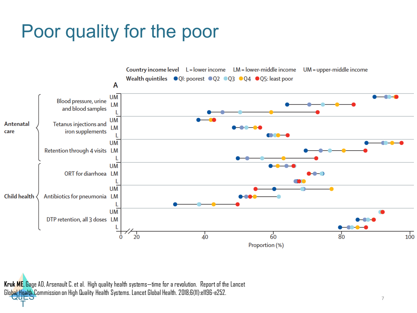## Poor quality for the poor



Glo<mark>bal Health C</mark>ommission on High Quality Health Systems. Lancet Global Health. 2018;6(11):e1196-e252.<br>Called **Kruk ME**, Gage AD, Arsenault C. et al. High quality health systems—time for a revolution. Report of the Lancet

T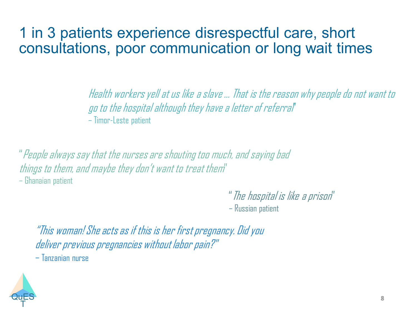#### 1 in 3 patients experience disrespectful care, short consultations, poor communication or long wait times

Health workers yell at us like a slave … That is the reason why people do not want to go to the hospital although they have a letter of referral" – Timor-Leste patient

"People always say that the nurses are shouting too much, and saying bad things to them, and maybe they don't want to treat them"

– Ghanaian patient

"The hospital is like a prison"

– Russian patient

"This woman! She acts as if this is her first pregnancy. Did you deliver previous pregnancies without labor pain?" – Tanzanian nurse

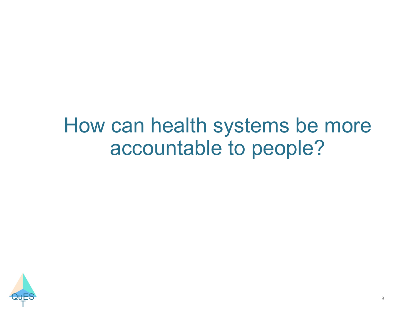# How can health systems be more accountable to people?

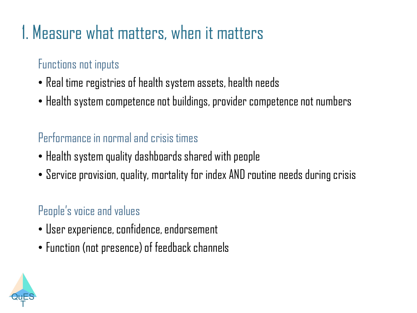# 1. Measure what matters, when it matters

#### Functions not inputs

- Real time registries of health system assets, health needs
- Health system competence not buildings, provider competence not numbers

#### Performance in normal and crisis times

- Health system quality dashboards shared with people
- Service provision, quality, mortality for index AND routine needs during crisis

#### People's voice and values

- User experience, confidence, endorsement
- Function (not presence) of feedback channels

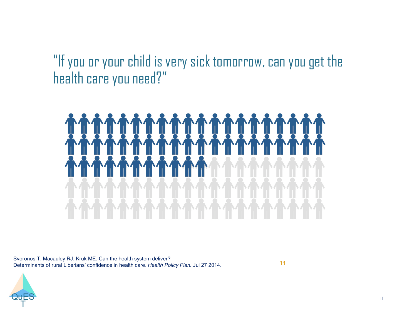"If you or your child is very sick tomorrow, can you get the health care you need?"



Svoronos T, Macauley RJ, Kruk ME. Can the health system deliver? Determinants of rural Liberians' confidence in health care. *Health Policy Plan.* Jul 27 2014.

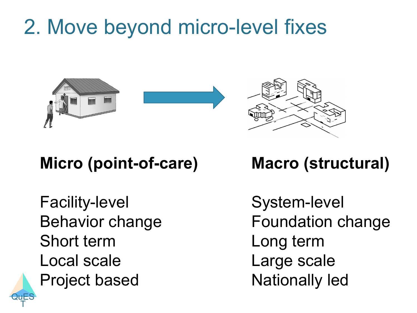# 2. Move beyond micro-level fixes





## **Micro (point-of-care)**

Facility-level Behavior change Short term Local scale Project based

**QuES** T

### **Macro (structural)**

System-level Foundation change Long term Large scale Nationally led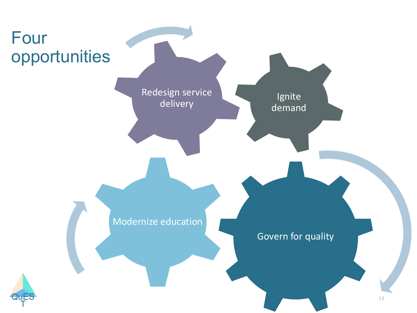